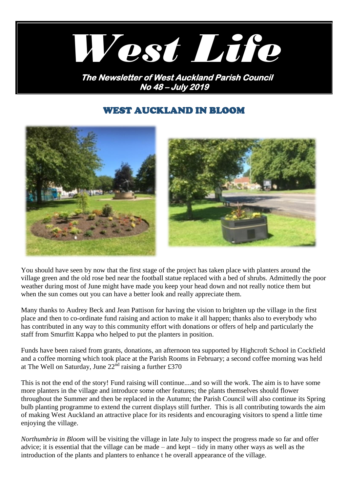

# WEST AUCKLAND IN BLOOM





You should have seen by now that the first stage of the project has taken place with planters around the village green and the old rose bed near the football statue replaced with a bed of shrubs. Admittedly the poor weather during most of June might have made you keep your head down and not really notice them but when the sun comes out you can have a better look and really appreciate them.

Many thanks to Audrey Beck and Jean Pattison for having the vision to brighten up the village in the first place and then to co-ordinate fund raising and action to make it all happen; thanks also to everybody who has contributed in any way to this community effort with donations or offers of help and particularly the staff from Smurfitt Kappa who helped to put the planters in position.

Funds have been raised from grants, donations, an afternoon tea supported by Highcroft School in Cockfield and a coffee morning which took place at the Parish Rooms in February; a second coffee morning was held at The Well on Saturday, June  $22^{\text{nd}}$  raising a further £370

This is not the end of the story! Fund raising will continue....and so will the work. The aim is to have some more planters in the village and introduce some other features; the plants themselves should flower throughout the Summer and then be replaced in the Autumn; the Parish Council will also continue its Spring bulb planting programme to extend the current displays still further. This is all contributing towards the aim of making West Auckland an attractive place for its residents and encouraging visitors to spend a little time enjoying the village.

*Northumbria in Bloom* will be visiting the village in late July to inspect the progress made so far and offer advice; it is essential that the village can be made – and kept – tidy in many other ways as well as the introduction of the plants and planters to enhance t he overall appearance of the village.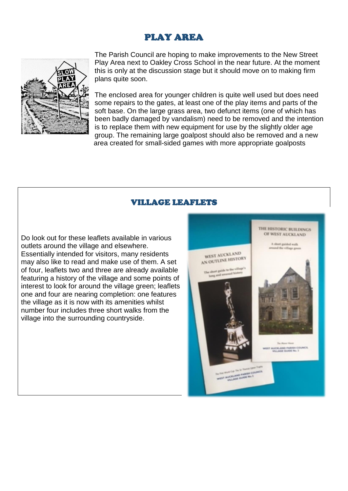# PLAY AREA



The Parish Council are hoping to make improvements to the New Street Play Area next to Oakley Cross School in the near future. At the moment this is only at the discussion stage but it should move on to making firm plans quite soon.

The enclosed area for younger children is quite well used but does need some repairs to the gates, at least one of the play items and parts of the soft base. On the large grass area, two defunct items (one of which has been badly damaged by vandalism) need to be removed and the intention is to replace them with new equipment for use by the slightly older age group. The remaining large goalpost should also be removed and a new area created for small-sided games with more appropriate goalposts

## VILLAGE LEAFLETS

Do look out for these leaflets available in various outlets around the village and elsewhere. Essentially intended for visitors, many residents may also like to read and make use of them. A set of four, leaflets two and three are already available featuring a history of the village and some points of interest to look for around the village green; leaflets one and four are nearing completion: one features the village as it is now with its amenities whilst number four includes three short walks from the village into the surrounding countryside.

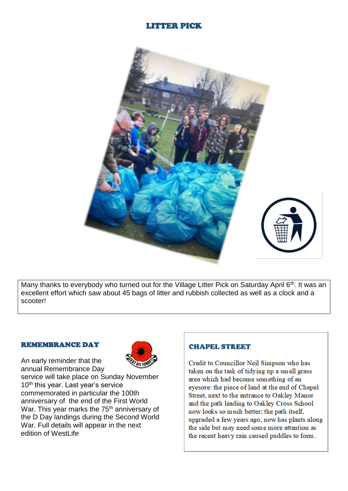## LITTER PICK



Many thanks to everybody who turned out for the Village Litter Pick on Saturday April 6<sup>th</sup>. It was an excellent effort which saw about 45 bags of litter and rubbish collected as well as a clock and a scooter!

#### REMEMBRANCE DAY

An early reminder that the



annual Remembrance Day service will take place on Sunday November 10<sup>th</sup> this year. Last year's service commemorated in particular the 100th anniversary of the end of the First World War. This year marks the 75<sup>th</sup> anniversary of the D Day landings during the Second World War. Full details will appear in the next edition of WestLife

### **CHAPEL STREET**

Credit to Councillor Neil Simpson who has taken on the task of tidying up a small grass area which had become something of an evesore: the piece of land at the end of Chapel Street, next to the entrance to Oakley Manor and the path leading to Oakley Cross School now looks so much better; the path itself, upgraded a few years ago, now has plants along the side but may need some more attention as the recent heavy rain caused puddles to form.